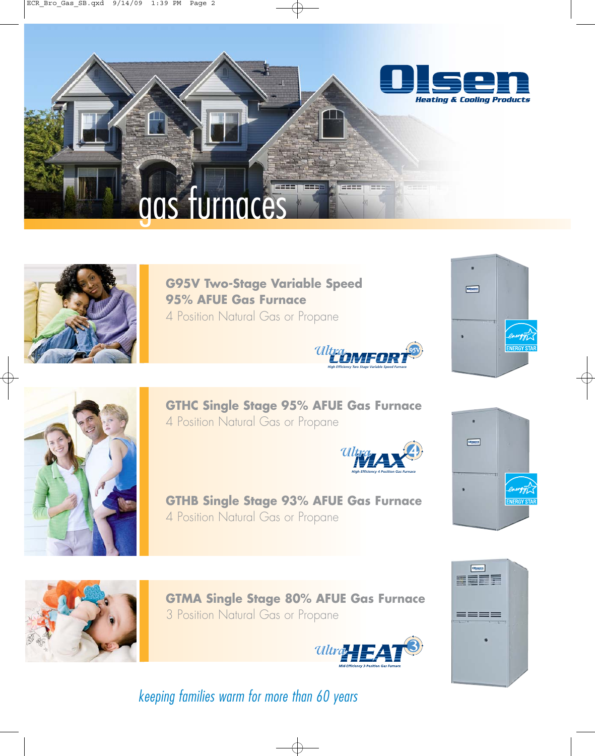



**G95V Two-Stage Variable Speed 95% AFUE Gas Furnace** 4 Position Natural Gas or Propane







**GTHC Single Stage 95% AFUE Gas Furnace** 4 Position Natural Gas or Propane





**GTHB Single Stage 93% AFUE Gas Furnace** 4 Position Natural Gas or Propane



**GTMA Single Stage 80% AFUE Gas Furnace** 3 Position Natural Gas or Propane





keeping families warm for more than 60 years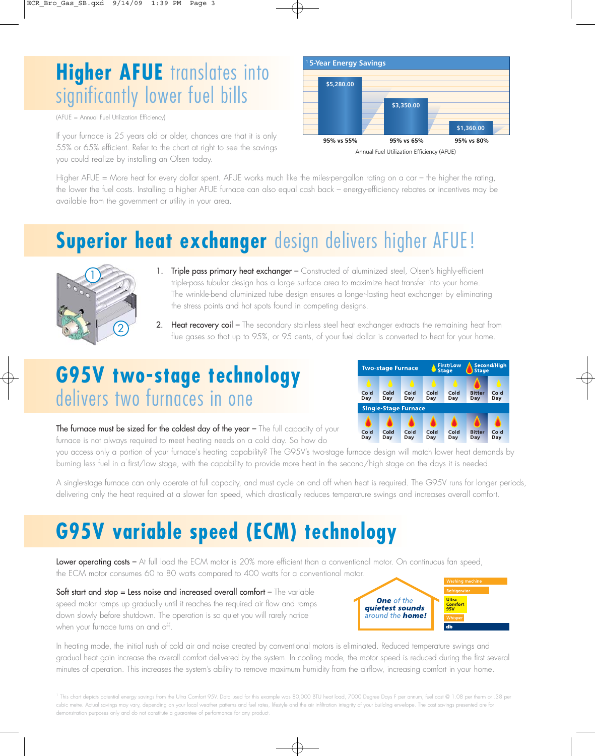### **Higher AFUE** translates into significantly lower fuel bills

(AFUE = Annual Fuel Utilization Efficiency)

If your furnace is 25 years old or older, chances are that it is only 55% or 65% efficient. Refer to the chart at right to see the savings you could realize by installing an Olsen today.



Annual Fuel Utilization Efficiency (AFUE) **95% vs 65%**

Higher AFUE = More heat for every dollar spent. AFUE works much like the miles-per-gallon rating on a car – the higher the rating, the lower the fuel costs. Installing a higher AFUE furnace can also equal cash back – energy-efficiency rebates or incentives may be available from the government or utility in your area.

## **Superior heat exchanger** design delivers higher AFUE!



- 1. Triple pass primary heat exchanger Constructed of aluminized steel, Olsen's highly-efficient triple-pass tubular design has a large surface area to maximize heat transfer into your home. The wrinkle-bend aluminized tube design ensures a longer-lasting heat exchanger by eliminating the stress points and hot spots found in competing designs.
- 2. Heat recovery coil The secondary stainless steel heat exchanger extracts the remaining heat from flue gases so that up to 95%, or 95 cents, of your fuel dollar is converted to heat for your home.

### **G95V two-stage technology** delivers two furnaces in one



The furnace must be sized for the coldest day of the year - The full capacity of your furnace is not always required to meet heating needs on a cold day. So how do

you access only a portion of your furnace's heating capability? The G95V's two-stage furnace design will match lower heat demands by burning less fuel in a first/low stage, with the capability to provide more heat in the second/high stage on the days it is needed.

A single-stage furnace can only operate at full capacity, and must cycle on and off when heat is required. The G95V runs for longer periods, delivering only the heat required at a slower fan speed, which drastically reduces temperature swings and increases overall comfort.

## **G95V variable speed (ECM) technology**

Lower operating costs – At full load the ECM motor is 20% more efficient than a conventional motor. On continuous fan speed, the ECM motor consumes 60 to 80 watts compared to 400 watts for a conventional motor.

Soft start and stop = Less noise and increased overall comfort - The variable speed motor ramps up gradually until it reaches the required air flow and ramps down slowly before shutdown. The operation is so quiet you will rarely notice when your furnace turns on and off.



In heating mode, the initial rush of cold air and noise created by conventional motors is eliminated. Reduced temperature swings and gradual heat gain increase the overall comfort delivered by the system. In cooling mode, the motor speed is reduced during the first several minutes of operation. This increases the system's ability to remove maximum humidity from the airflow, increasing comfort in your home.

<sup>1</sup> This chart depicts potential energy savings from the Ultra Comfort 95V. Data used for this example was 80,000 BTU heat load, 7000 Degree Days F per annum, fuel cost @ 1.08 per therm or .38 per cubic metre. Actual savings may vary, depending on your local weather patterns and fuel rates, lifestyle and the air infiltration integrity of your building envelope. The cost savings presented are for demonstration purposes only and do not constitute a guarantee of performance for any product.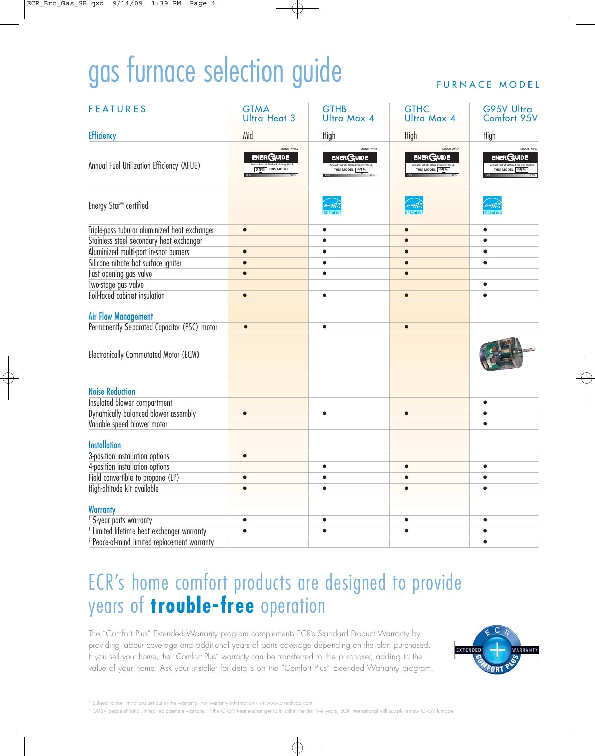# gas furnace selection guide

#### FURNACE MODEL

| <b>FEATURES</b>                                         | <b>GTMA</b><br><b>Ultra Heat 3</b>                                   | <b>GTHB</b><br><b>Ultra Max 4</b>                | <b>GTHC</b><br><b>Ultra Max 4</b>                | G95V Ultra<br>Comfort 95V                        |
|---------------------------------------------------------|----------------------------------------------------------------------|--------------------------------------------------|--------------------------------------------------|--------------------------------------------------|
| <b>Efficiency</b>                                       | Mid                                                                  | High                                             | High                                             | High                                             |
| Annual Fuel Utilization Efficiency (AFUE)               | MODEL GTMA<br><b>ENERGUIDE</b><br>mual Fuel Ut lization Efficiency ( | MODEL GTHE<br><b>ENERGUIDE</b><br>THIS MODEL 93% | MODEL GTHC<br><b>ENERGUIDE</b><br>THIS MODEL 95% | MODEL G95V<br><b>ENERGUIDE</b><br>THIS MODEL 95% |
| Energy Star <sup>®</sup> certified                      |                                                                      |                                                  |                                                  |                                                  |
| Triple-pass tubular aluminized heat exchanger           | $\bullet$                                                            |                                                  |                                                  |                                                  |
| Stainless steel secondary heat exchanger                |                                                                      |                                                  |                                                  |                                                  |
| Aluminized multi-port in-shot burners                   |                                                                      |                                                  |                                                  |                                                  |
| Silicone nitrate hot surface igniter                    |                                                                      |                                                  |                                                  |                                                  |
| Fast opening gas valve                                  |                                                                      | $\bullet$                                        | $\bullet$                                        |                                                  |
| Two-stage gas valve                                     |                                                                      |                                                  |                                                  | $\bullet$                                        |
| Foil-faced cabinet insulation                           | $\bullet$                                                            | $\bullet$                                        | $\bullet$                                        |                                                  |
| <b>Air Flow Management</b>                              |                                                                      |                                                  |                                                  |                                                  |
| Permanently Separated Capacitor (PSC) motor             | $\bullet$                                                            | $\bullet$                                        | $\bullet$                                        |                                                  |
| Electronically Commutated Motor (ECM)                   |                                                                      |                                                  |                                                  |                                                  |
| <b>Noise Reduction</b>                                  |                                                                      |                                                  |                                                  |                                                  |
| Insulated blower compartment                            |                                                                      |                                                  |                                                  |                                                  |
| Dynamically balanced blower assembly                    | $\bullet$                                                            | $\bullet$                                        |                                                  |                                                  |
| Variable speed blower motor                             |                                                                      |                                                  |                                                  |                                                  |
| <b>Installation</b>                                     |                                                                      |                                                  |                                                  |                                                  |
| 3-position installation options                         | $\bullet$                                                            |                                                  |                                                  |                                                  |
| 4-position installation options                         |                                                                      | $\bullet$                                        |                                                  |                                                  |
| Field convertible to propane (LP)                       |                                                                      |                                                  |                                                  |                                                  |
| High-altitude kit available                             |                                                                      |                                                  |                                                  |                                                  |
|                                                         |                                                                      |                                                  |                                                  |                                                  |
| <b>Warranty</b>                                         |                                                                      |                                                  |                                                  |                                                  |
| <sup>1</sup> 5-year parts warranty                      |                                                                      | $\bullet$                                        | $\bullet$                                        |                                                  |
| <sup>1</sup> Limited lifetime heat exchanger warranty   |                                                                      |                                                  |                                                  |                                                  |
| <sup>2</sup> Peace-of-mind limited replacement warranty |                                                                      |                                                  |                                                  |                                                  |

### ECR's home comfort products are designed to provide years of **trouble-free** operation

The "Comfort Plus" Extended Warranty program complements ECR's Standard Product Warranty by providing labour coverage and additional years of parts coverage depending on the plan purchased. If you sell your home, the "Comfort Plus" warranty can be transferred to the purchaser, adding to the value of your home. Ask your installer for details on the "Comfort Plus" Extended Warranty program.



<sup>1</sup> Subject to the limitations set out in the warranty. For warranty information visit www.olsenhvac.com

<sup>2</sup> G95V peace-of-mind limited replacement warranty. If the G95V heat exchanger fails within the first five years, ECR International will supply a new G95V furnace.